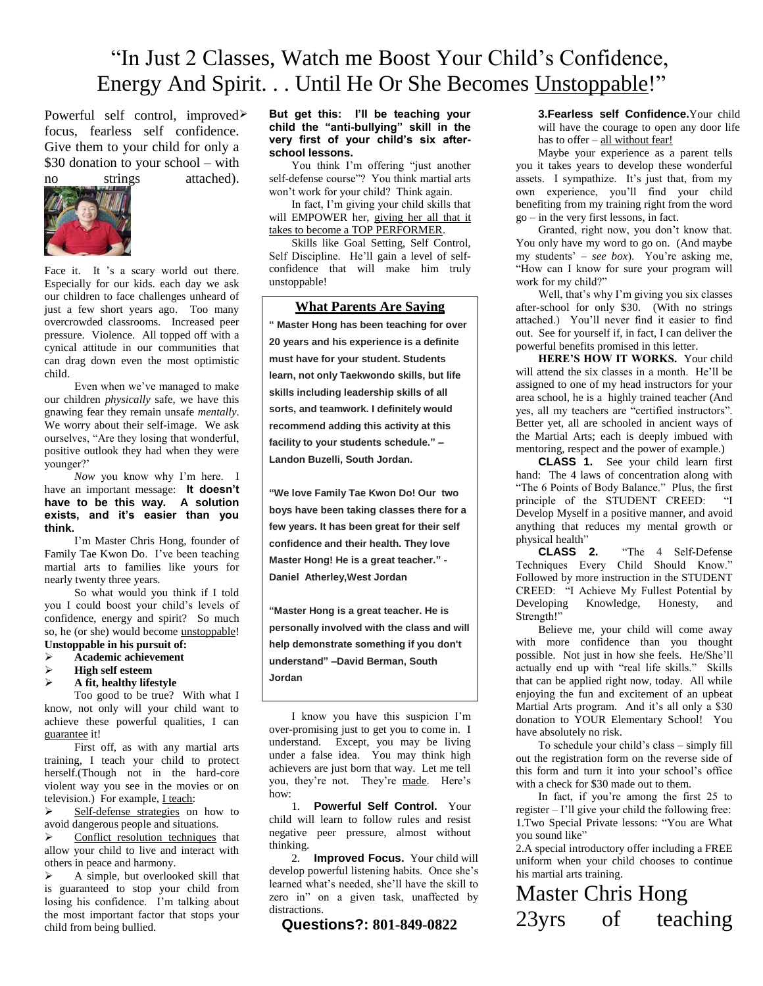## "In Just 2 Classes, Watch me Boost Your Child's Confidence, Energy And Spirit. . . Until He Or She Becomes Unstoppable!"

Powerful self control, improved> focus, fearless self confidence. Give them to your child for only a \$30 donation to your school – with no strings attached).



Face it. It 's a scary world out there. Especially for our kids. each day we ask our children to face challenges unheard of just a few short years ago. Too many overcrowded classrooms. Increased peer pressure. Violence. All topped off with a cynical attitude in our communities that can drag down even the most optimistic child.

Even when we've managed to make our children *physically* safe, we have this gnawing fear they remain unsafe *mentally*. We worry about their self-image. We ask ourselves, "Are they losing that wonderful, positive outlook they had when they were younger?'

*Now* you know why I'm here. I have an important message: **It doesn't have to be this way. A solution exists, and it's easier than you think.** 

I'm Master Chris Hong, founder of Family Tae Kwon Do. I've been teaching martial arts to families like yours for nearly twenty three years.

So what would you think if I told you I could boost your child's levels of confidence, energy and spirit? So much so, he (or she) would become unstoppable!

## **Unstoppable in his pursuit of:**

- **Academic achievement**
- **High self esteem**
- **A fit, healthy lifestyle**

Too good to be true? With what I know, not only will your child want to achieve these powerful qualities, I can guarantee it!

First off, as with any martial arts training, I teach your child to protect herself.(Though not in the hard-core violent way you see in the movies or on television.) For example, I teach:

 $\triangleright$  Self-defense strategies on how to avoid dangerous people and situations.

 $\triangleright$  Conflict resolution techniques that allow your child to live and interact with others in peace and harmony.

> A simple, but overlooked skill that is guaranteed to stop your child from losing his confidence. I'm talking about the most important factor that stops your child from being bullied.

## **But get this: I'll be teaching your child the "anti-bullying" skill in the very first of your child's six afterschool lessons.**

You think I'm offering "just another self-defense course"? You think martial arts won't work for your child? Think again.

In fact, I'm giving your child skills that will EMPOWER her, giving her all that it takes to become a TOP PERFORMER.

Skills like Goal Setting, Self Control, Self Discipline. He'll gain a level of selfconfidence that will make him truly unstoppable!

## **What Parents Are Saying**

**" Master Hong has been teaching for over 20 years and his experience is a definite must have for your student. Students learn, not only Taekwondo skills, but life skills including leadership skills of all sorts, and teamwork. I definitely would recommend adding this activity at this facility to your students schedule." – Landon Buzelli, South Jordan.**

**"We love Family Tae Kwon Do! Our two boys have been taking classes there for a few years. It has been great for their self confidence and their health. They love Master Hong! He is a great teacher." - Daniel Atherley,West Jordan**

**"Master Hong is a great teacher. He is personally involved with the class and will help demonstrate something if you don't understand" –David Berman, South Jordan**

I know you have this suspicion I'm over-promising just to get you to come in. I understand. Except, you may be living under a false idea. You may think high achievers are just born that way. Let me tell you, they're not. They're made. Here's how:

1. **Powerful Self Control.** Your child will learn to follow rules and resist negative peer pressure, almost without thinking.

2. **Improved Focus.** Your child will develop powerful listening habits. Once she's learned what's needed, she'll have the skill to zero in" on a given task, unaffected by distractions.

 **Questions?: 801-849-0822**

**3.Fearless self Confidence.**Your child will have the courage to open any door life has to offer – all without fear!

Maybe your experience as a parent tells you it takes years to develop these wonderful assets. I sympathize. It's just that, from my own experience, you'll find your child benefiting from my training right from the word go – in the very first lessons, in fact.

Granted, right now, you don't know that. You only have my word to go on. (And maybe my students' – *see box*). You're asking me, "How can I know for sure your program will work for my child?"

Well, that's why I'm giving you six classes after-school for only \$30. (With no strings attached.) You'll never find it easier to find out. See for yourself if, in fact, I can deliver the powerful benefits promised in this letter.

**HERE'S HOW IT WORKS.** Your child will attend the six classes in a month. He'll be assigned to one of my head instructors for your area school, he is a highly trained teacher (And yes, all my teachers are "certified instructors". Better yet, all are schooled in ancient ways of the Martial Arts; each is deeply imbued with mentoring, respect and the power of example.)

**CLASS 1.** See your child learn first hand: The 4 laws of concentration along with "The 6 Points of Body Balance." Plus, the first principle of the STUDENT CREED: "I Develop Myself in a positive manner, and avoid anything that reduces my mental growth or physical health"<br>CLASS 2.

"The 4 Self-Defense Techniques Every Child Should Know." Followed by more instruction in the STUDENT CREED: "I Achieve My Fullest Potential by<br>Developing Knowledge, Honesty, and Knowledge, Honesty, and Strength!"

Believe me, your child will come away with more confidence than you thought possible. Not just in how she feels. He/She'll actually end up with "real life skills." Skills that can be applied right now, today. All while enjoying the fun and excitement of an upbeat Martial Arts program. And it's all only a \$30 donation to YOUR Elementary School! You have absolutely no risk.

To schedule your child's class – simply fill out the registration form on the reverse side of this form and turn it into your school's office with a check for \$30 made out to them.

In fact, if you're among the first 25 to register – I'll give your child the following free: 1.Two Special Private lessons: "You are What you sound like"

2.A special introductory offer including a FREE uniform when your child chooses to continue his martial arts training.

Master Chris Hong<br>23yrs of tead 23yrs of teaching